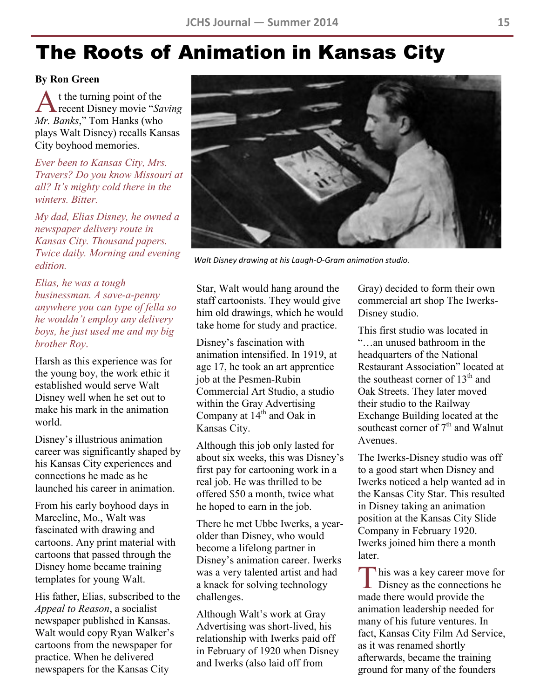# The Roots of Animation in Kansas City

#### **By Ron Green**

A t the turning point of the<br>recent Disney movie "*Saving* t the turning point of the *Mr. Banks*," Tom Hanks (who plays Walt Disney) recalls Kansas City boyhood memories.

*Ever been to Kansas City, Mrs. Travers? Do you know Missouri at all? It's mighty cold there in the winters. Bitter.* 

*My dad, Elias Disney, he owned a newspaper delivery route in Kansas City. Thousand papers. Twice daily. Morning and evening edition.* 

*Elias, he was a tough businessman. A save-a-penny anywhere you can type of fella so he wouldn't employ any delivery boys, he just used me and my big brother Roy*.

Harsh as this experience was for the young boy, the work ethic it established would serve Walt Disney well when he set out to make his mark in the animation world.

Disney's illustrious animation career was significantly shaped by his Kansas City experiences and connections he made as he launched his career in animation.

From his early boyhood days in Marceline, Mo., Walt was fascinated with drawing and cartoons. Any print material with cartoons that passed through the Disney home became training templates for young Walt.

His father, Elias, subscribed to the *Appeal to Reason*, a socialist newspaper published in Kansas. Walt would copy Ryan Walker's cartoons from the newspaper for practice. When he delivered newspapers for the Kansas City



*Walt Disney drawing at his Laugh-O-Gram animation studio.*

Star, Walt would hang around the staff cartoonists. They would give him old drawings, which he would take home for study and practice.

Disney's fascination with animation intensified. In 1919, at age 17, he took an art apprentice job at the Pesmen-Rubin Commercial Art Studio, a studio within the Gray Advertising Company at  $14^{th}$  and Oak in Kansas City.

Although this job only lasted for about six weeks, this was Disney's first pay for cartooning work in a real job. He was thrilled to be offered \$50 a month, twice what he hoped to earn in the job.

There he met Ubbe Iwerks, a yearolder than Disney, who would become a lifelong partner in Disney's animation career. Iwerks was a very talented artist and had a knack for solving technology challenges.

Although Walt's work at Gray Advertising was short-lived, his relationship with Iwerks paid off in February of 1920 when Disney and Iwerks (also laid off from

Gray) decided to form their own commercial art shop The Iwerks-Disney studio.

This first studio was located in "…an unused bathroom in the headquarters of the National Restaurant Association" located at the southeast corner of 13<sup>th</sup> and Oak Streets. They later moved their studio to the Railway Exchange Building located at the southeast corner of 7<sup>th</sup> and Walnut Avenues.

The Iwerks-Disney studio was off to a good start when Disney and Iwerks noticed a help wanted ad in the Kansas City Star. This resulted in Disney taking an animation position at the Kansas City Slide Company in February 1920. Iwerks joined him there a month **later** 

This was a key career move for<br>Disney as the connections he **L** Disney as the connections he made there would provide the animation leadership needed for many of his future ventures. In fact, Kansas City Film Ad Service, as it was renamed shortly afterwards, became the training ground for many of the founders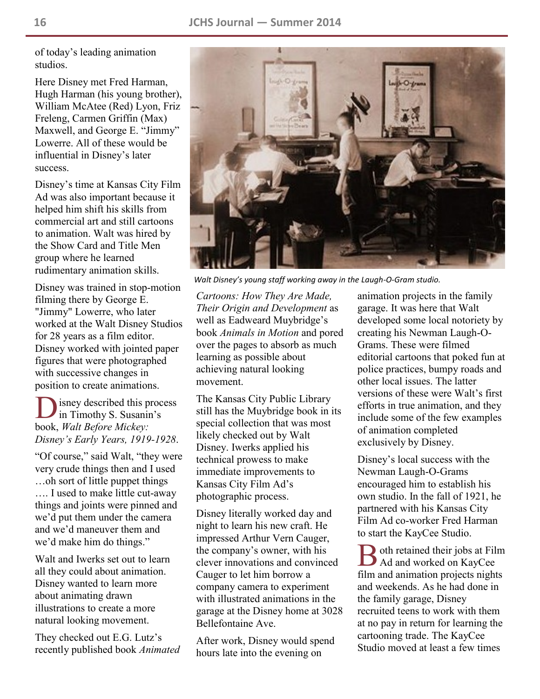of today's leading animation studios.

Here Disney met Fred Harman, Hugh Harman (his young brother), William McAtee (Red) Lyon, Friz Freleng, Carmen Griffin (Max) Maxwell, and George E. "Jimmy" Lowerre. All of these would be influential in Disney's later success.

Disney's time at Kansas City Film Ad was also important because it helped him shift his skills from commercial art and still cartoons to animation. Walt was hired by the Show Card and Title Men group where he learned rudimentary animation skills.

Disney was trained in stop-motion filming there by George E. "Jimmy" Lowerre, who later worked at the Walt Disney Studios for 28 years as a film editor. Disney worked with jointed paper figures that were photographed with successive changes in position to create animations.

D isney described this process in Timothy S. Susanin's book, *Walt Before Mickey: Disney's Early Years, 1919-1928*.

"Of course," said Walt, "they were very crude things then and I used …oh sort of little puppet things …. I used to make little cut-away things and joints were pinned and we'd put them under the camera and we'd maneuver them and we'd make him do things."

Walt and Iwerks set out to learn all they could about animation. Disney wanted to learn more about animating drawn illustrations to create a more natural looking movement.

They checked out E.G. Lutz's recently published book *Animated* 



*Walt Disney's young staff working away in the Laugh-O-Gram studio.*

*Cartoons: How They Are Made, Their Origin and Development* as well as Eadweard Muybridge's book *Animals in Motion* and pored over the pages to absorb as much learning as possible about achieving natural looking movement.

The Kansas City Public Library still has the Muybridge book in its special collection that was most likely checked out by Walt Disney. Iwerks applied his technical prowess to make immediate improvements to Kansas City Film Ad's photographic process.

Disney literally worked day and night to learn his new craft. He impressed Arthur Vern Cauger, the company's owner, with his clever innovations and convinced Cauger to let him borrow a company camera to experiment with illustrated animations in the garage at the Disney home at 3028 Bellefontaine Ave.

After work, Disney would spend hours late into the evening on

animation projects in the family garage. It was here that Walt developed some local notoriety by creating his Newman Laugh-O-Grams. These were filmed editorial cartoons that poked fun at police practices, bumpy roads and other local issues. The latter versions of these were Walt's first efforts in true animation, and they include some of the few examples of animation completed exclusively by Disney.

Disney's local success with the Newman Laugh-O-Grams encouraged him to establish his own studio. In the fall of 1921, he partnered with his Kansas City Film Ad co-worker Fred Harman to start the KayCee Studio.

B oth retained their jobs at Films oth retained their jobs at Film film and animation projects nights and weekends. As he had done in the family garage, Disney recruited teens to work with them at no pay in return for learning the cartooning trade. The KayCee Studio moved at least a few times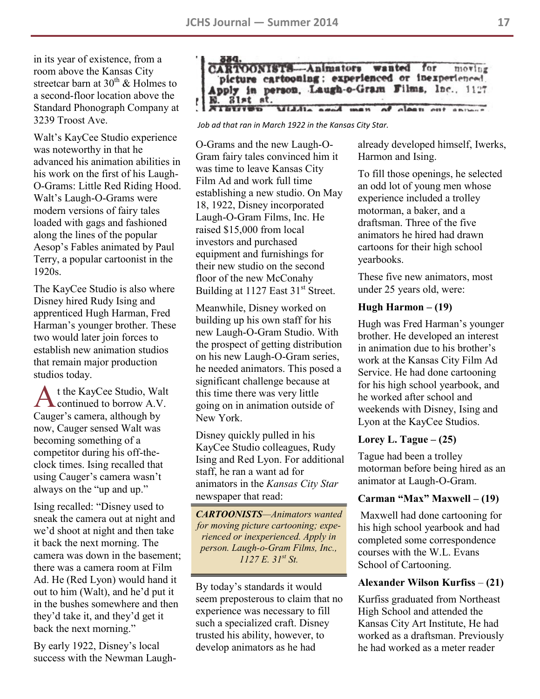in its year of existence, from a room above the Kansas City streetcar barn at  $30<sup>th</sup>$  & Holmes to a second-floor location above the Standard Phonograph Company at 3239 Troost Ave.

Walt's KayCee Studio experience was noteworthy in that he advanced his animation abilities in his work on the first of his Laugh-O-Grams: Little Red Riding Hood. Walt's Laugh-O-Grams were modern versions of fairy tales loaded with gags and fashioned along the lines of the popular Aesop's Fables animated by Paul Terry, a popular cartoonist in the 1920s.

The KayCee Studio is also where Disney hired Rudy Ising and apprenticed Hugh Harman, Fred Harman's younger brother. These two would later join forces to establish new animation studios that remain major production studios today.

A t the KayCee Studio, Walt<br>
continued to borrow A.V. t the KayCee Studio, Walt Cauger's camera, although by now, Cauger sensed Walt was becoming something of a competitor during his off-theclock times. Ising recalled that using Cauger's camera wasn't always on the "up and up."

Ising recalled: "Disney used to sneak the camera out at night and we'd shoot at night and then take it back the next morning. The camera was down in the basement; there was a camera room at Film Ad. He (Red Lyon) would hand it out to him (Walt), and he'd put it in the bushes somewhere and then they'd take it, and they'd get it back the next morning."

By early 1922, Disney's local success with the Newman Laugh-



*Job ad that ran in March 1922 in the Kansas City Star.*

O-Grams and the new Laugh-O-Gram fairy tales convinced him it was time to leave Kansas City Film Ad and work full time establishing a new studio. On May 18, 1922, Disney incorporated Laugh-O-Gram Films, Inc. He raised \$15,000 from local investors and purchased equipment and furnishings for their new studio on the second floor of the new McConahy Building at  $1127$  East  $31<sup>st</sup>$  Street.

Meanwhile, Disney worked on building up his own staff for his new Laugh-O-Gram Studio. With the prospect of getting distribution on his new Laugh-O-Gram series, he needed animators. This posed a significant challenge because at this time there was very little going on in animation outside of New York.

Disney quickly pulled in his KayCee Studio colleagues, Rudy Ising and Red Lyon. For additional staff, he ran a want ad for animators in the *Kansas City Star*  newspaper that read:

*CARTOONISTS—Animators wanted for moving picture cartooning; experienced or inexperienced. Apply in person. Laugh-o-Gram Films, Inc., 1127 E. 31st St.*

By today's standards it would seem preposterous to claim that no experience was necessary to fill such a specialized craft. Disney trusted his ability, however, to develop animators as he had

already developed himself, Iwerks, Harmon and Ising.

To fill those openings, he selected an odd lot of young men whose experience included a trolley motorman, a baker, and a draftsman. Three of the five animators he hired had drawn cartoons for their high school yearbooks.

These five new animators, most under 25 years old, were:

#### **Hugh Harmon – (19)**

Hugh was Fred Harman's younger brother. He developed an interest in animation due to his brother's work at the Kansas City Film Ad Service. He had done cartooning for his high school yearbook, and he worked after school and weekends with Disney, Ising and Lyon at the KayCee Studios.

## **Lorey L. Tague – (25)**

Tague had been a trolley motorman before being hired as an animator at Laugh-O-Gram.

#### **Carman "Max" Maxwell – (19)**

Maxwell had done cartooning for his high school yearbook and had completed some correspondence courses with the W.L. Evans School of Cartooning.

## **Alexander Wilson Kurfiss** – **(21)**

Kurfiss graduated from Northeast High School and attended the Kansas City Art Institute, He had worked as a draftsman. Previously he had worked as a meter reader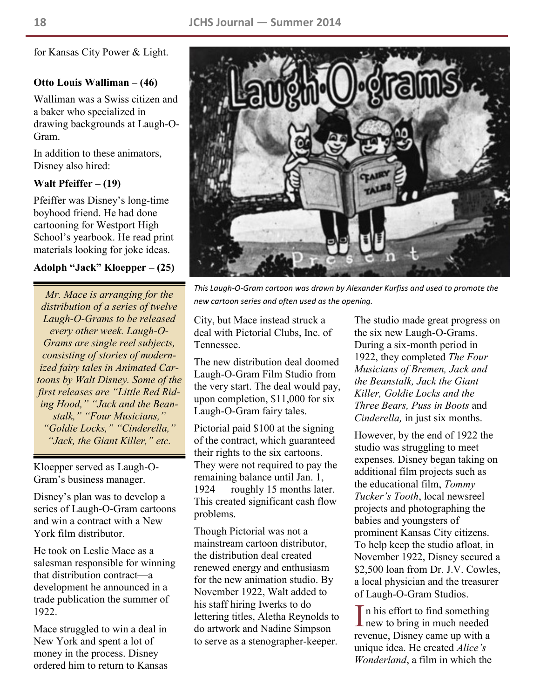for Kansas City Power & Light.

## **Otto Louis Walliman – (46)**

Walliman was a Swiss citizen and a baker who specialized in drawing backgrounds at Laugh-O-Gram.

In addition to these animators, Disney also hired:

# **Walt Pfeiffer – (19)**

Pfeiffer was Disney's long-time boyhood friend. He had done cartooning for Westport High School's yearbook. He read print materials looking for joke ideas.

# **Adolph "Jack" Kloepper – (25)**

*Mr. Mace is arranging for the distribution of a series of twelve Laugh-O-Grams to be released every other week. Laugh-O-Grams are single reel subjects, consisting of stories of modernized fairy tales in Animated Cartoons by Walt Disney. Some of the first releases are "Little Red Riding Hood," "Jack and the Beanstalk," "Four Musicians," "Goldie Locks," "Cinderella," "Jack, the Giant Killer," etc.*

Kloepper served as Laugh-O-Gram's business manager.

Disney's plan was to develop a series of Laugh-O-Gram cartoons and win a contract with a New York film distributor.

He took on Leslie Mace as a salesman responsible for winning that distribution contract—a development he announced in a trade publication the summer of 1922.

Mace struggled to win a deal in New York and spent a lot of money in the process. Disney ordered him to return to Kansas



*This Laugh-O-Gram cartoon was drawn by Alexander Kurfiss and used to promote the new cartoon series and often used as the opening.*

City, but Mace instead struck a deal with Pictorial Clubs, Inc. of Tennessee.

The new distribution deal doomed Laugh-O-Gram Film Studio from the very start. The deal would pay, upon completion, \$11,000 for six Laugh-O-Gram fairy tales.

Pictorial paid \$100 at the signing of the contract, which guaranteed their rights to the six cartoons. They were not required to pay the remaining balance until Jan. 1, 1924 — roughly 15 months later. This created significant cash flow problems.

Though Pictorial was not a mainstream cartoon distributor, the distribution deal created renewed energy and enthusiasm for the new animation studio. By November 1922, Walt added to his staff hiring Iwerks to do lettering titles, Aletha Reynolds to do artwork and Nadine Simpson to serve as a stenographer-keeper.

The studio made great progress on the six new Laugh-O-Grams. During a six-month period in 1922, they completed *The Four Musicians of Bremen, Jack and the Beanstalk, Jack the Giant Killer, Goldie Locks and the Three Bears, Puss in Boots* and *Cinderella,* in just six months.

However, by the end of 1922 the studio was struggling to meet expenses. Disney began taking on additional film projects such as the educational film, *Tommy Tucker's Tooth*, local newsreel projects and photographing the babies and youngsters of prominent Kansas City citizens. To help keep the studio afloat, in November 1922, Disney secured a \$2,500 loan from Dr. J.V. Cowles, a local physician and the treasurer of Laugh-O-Gram Studios.

In his effort to find something<br>new to bring in much needed **L** new to bring in much needed revenue, Disney came up with a unique idea. He created *Alice's Wonderland*, a film in which the